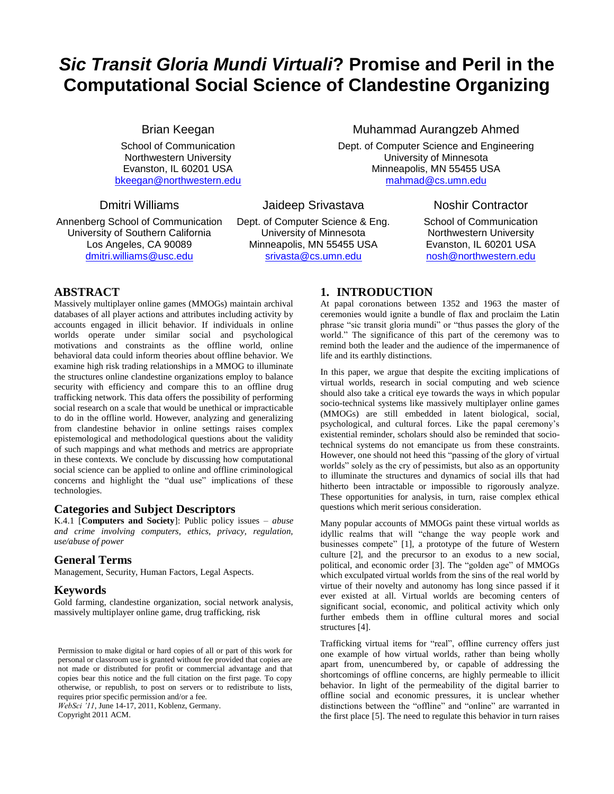# *Sic Transit Gloria Mundi Virtuali***? Promise and Peril in the Computational Social Science of Clandestine Organizing**

Brian Keegan

School of Communication Northwestern University Evanston, IL 60201 USA [bkeegan@northwestern.edu](mailto:bkeegan@northwestern.edu)

Jaideep Srivastava

Annenberg School of Communication University of Southern California Los Angeles, CA 90089 [dmitri.williams@usc.edu](mailto:dmitri.williams@usc.edu)

Dmitri Williams

Dept. of Computer Science & Eng. University of Minnesota Minneapolis, MN 55455 USA [srivasta@cs.umn.edu](mailto:mahmad@cs.umn.edu)

### Muhammad Aurangzeb Ahmed

Dept. of Computer Science and Engineering University of Minnesota Minneapolis, MN 55455 USA [mahmad@cs.umn.edu](mailto:mahmad@cs.umn.edu)

Noshir Contractor

School of Communication Northwestern University Evanston, IL 60201 USA [nosh@northwestern.edu](mailto:nosh@northwestern.edu)

# **ABSTRACT**

Massively multiplayer online games (MMOGs) maintain archival databases of all player actions and attributes including activity by accounts engaged in illicit behavior. If individuals in online worlds operate under similar social and psychological motivations and constraints as the offline world, online behavioral data could inform theories about offline behavior. We examine high risk trading relationships in a MMOG to illuminate the structures online clandestine organizations employ to balance security with efficiency and compare this to an offline drug trafficking network. This data offers the possibility of performing social research on a scale that would be unethical or impracticable to do in the offline world. However, analyzing and generalizing from clandestine behavior in online settings raises complex epistemological and methodological questions about the validity of such mappings and what methods and metrics are appropriate in these contexts. We conclude by discussing how computational social science can be applied to online and offline criminological concerns and highlight the "dual use" implications of these technologies.

### **Categories and Subject Descriptors**

K.4.1 [**Computers and Society**]: Public policy issues – *abuse and crime involving computers, ethics, privacy, regulation, use/abuse of power*

### **General Terms**

Management, Security, Human Factors, Legal Aspects.

### **Keywords**

Gold farming, clandestine organization, social network analysis, massively multiplayer online game, drug trafficking, risk

Permission to make digital or hard copies of all or part of this work for personal or classroom use is granted without fee provided that copies are not made or distributed for profit or commercial advantage and that copies bear this notice and the full citation on the first page. To copy otherwise, or republish, to post on servers or to redistribute to lists, requires prior specific permission and/or a fee.

*WebSci '11*, June 14-17, 2011, Koblenz, Germany.

Copyright 2011 ACM.

# **1. INTRODUCTION**

At papal coronations between 1352 and 1963 the master of ceremonies would ignite a bundle of flax and proclaim the Latin phrase "sic transit gloria mundi" or "thus passes the glory of the world." The significance of this part of the ceremony was to remind both the leader and the audience of the impermanence of life and its earthly distinctions.

In this paper, we argue that despite the exciting implications of virtual worlds, research in social computing and web science should also take a critical eye towards the ways in which popular socio-technical systems like massively multiplayer online games (MMOGs) are still embedded in latent biological, social, psychological, and cultural forces. Like the papal ceremony's existential reminder, scholars should also be reminded that sociotechnical systems do not emancipate us from these constraints. However, one should not heed this "passing of the glory of virtual worlds" solely as the cry of pessimists, but also as an opportunity to illuminate the structures and dynamics of social ills that had hitherto been intractable or impossible to rigorously analyze. These opportunities for analysis, in turn, raise complex ethical questions which merit serious consideration.

Many popular accounts of MMOGs paint these virtual worlds as idyllic realms that will "change the way people work and businesses compete" [\[1\]](#page-6-0), a prototype of the future of Western culture [\[2\]](#page-6-1), and the precursor to an exodus to a new social, political, and economic order [\[3\]](#page-6-2). The "golden age" of MMOGs which exculpated virtual worlds from the sins of the real world by virtue of their novelty and autonomy has long since passed if it ever existed at all. Virtual worlds are becoming centers of significant social, economic, and political activity which only further embeds them in offline cultural mores and social structures [\[4\]](#page-6-3).

Trafficking virtual items for "real", offline currency offers just one example of how virtual worlds, rather than being wholly apart from, unencumbered by, or capable of addressing the shortcomings of offline concerns, are highly permeable to illicit behavior. In light of the permeability of the digital barrier to offline social and economic pressures, it is unclear whether distinctions between the "offline" and "online" are warranted in the first place [\[5\]](#page-6-4). The need to regulate this behavior in turn raises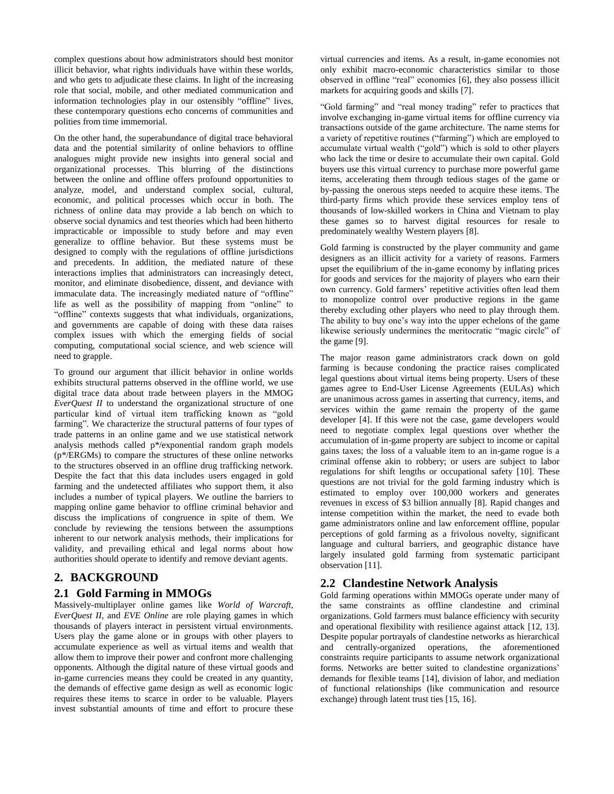complex questions about how administrators should best monitor illicit behavior, what rights individuals have within these worlds, and who gets to adjudicate these claims. In light of the increasing role that social, mobile, and other mediated communication and information technologies play in our ostensibly "offline" lives, these contemporary questions echo concerns of communities and polities from time immemorial.

On the other hand, the superabundance of digital trace behavioral data and the potential similarity of online behaviors to offline analogues might provide new insights into general social and organizational processes. This blurring of the distinctions between the online and offline offers profound opportunities to analyze, model, and understand complex social, cultural, economic, and political processes which occur in both. The richness of online data may provide a lab bench on which to observe social dynamics and test theories which had been hitherto impracticable or impossible to study before and may even generalize to offline behavior. But these systems must be designed to comply with the regulations of offline jurisdictions and precedents. In addition, the mediated nature of these interactions implies that administrators can increasingly detect, monitor, and eliminate disobedience, dissent, and deviance with immaculate data. The increasingly mediated nature of "offline" life as well as the possibility of mapping from "online" to "offline" contexts suggests that what individuals, organizations, and governments are capable of doing with these data raises complex issues with which the emerging fields of social computing, computational social science, and web science will need to grapple.

To ground our argument that illicit behavior in online worlds exhibits structural patterns observed in the offline world, we use digital trace data about trade between players in the MMOG *EverQuest II* to understand the organizational structure of one particular kind of virtual item trafficking known as "gold farming". We characterize the structural patterns of four types of trade patterns in an online game and we use statistical network analysis methods called p\*/exponential random graph models (p\*/ERGMs) to compare the structures of these online networks to the structures observed in an offline drug trafficking network. Despite the fact that this data includes users engaged in gold farming and the undetected affiliates who support them, it also includes a number of typical players. We outline the barriers to mapping online game behavior to offline criminal behavior and discuss the implications of congruence in spite of them. We conclude by reviewing the tensions between the assumptions inherent to our network analysis methods, their implications for validity, and prevailing ethical and legal norms about how authorities should operate to identify and remove deviant agents.

# **2. BACKGROUND**

#### **2.1 Gold Farming in MMOGs**

Massively-multiplayer online games like *World of Warcraft, EverQuest II*, and *EVE Online* are role playing games in which thousands of players interact in persistent virtual environments. Users play the game alone or in groups with other players to accumulate experience as well as virtual items and wealth that allow them to improve their power and confront more challenging opponents. Although the digital nature of these virtual goods and in-game currencies means they could be created in any quantity, the demands of effective game design as well as economic logic requires these items to scarce in order to be valuable. Players invest substantial amounts of time and effort to procure these virtual currencies and items. As a result, in-game economies not only exhibit macro-economic characteristics similar to those observed in offline "real" economies [\[6\]](#page-6-5), they also possess illicit markets for acquiring goods and skills [\[7\]](#page-7-0).

"Gold farming" and "real money trading" refer to practices that involve exchanging in-game virtual items for offline currency via transactions outside of the game architecture. The name stems for a variety of repetitive routines ("farming") which are employed to accumulate virtual wealth ("gold") which is sold to other players who lack the time or desire to accumulate their own capital. Gold buyers use this virtual currency to purchase more powerful game items, accelerating them through tedious stages of the game or by-passing the onerous steps needed to acquire these items. The third-party firms which provide these services employ tens of thousands of low-skilled workers in China and Vietnam to play these games so to harvest digital resources for resale to predominately wealthy Western players [\[8\]](#page-7-1).

Gold farming is constructed by the player community and game designers as an illicit activity for a variety of reasons. Farmers upset the equilibrium of the in-game economy by inflating prices for goods and services for the majority of players who earn their own currency. Gold farmers' repetitive activities often lead them to monopolize control over productive regions in the game thereby excluding other players who need to play through them. The ability to buy one's way into the upper echelons of the game likewise seriously undermines the meritocratic "magic circle" of the game [\[9\]](#page-7-2).

The major reason game administrators crack down on gold farming is because condoning the practice raises complicated legal questions about virtual items being property. Users of these games agree to End-User License Agreements (EULAs) which are unanimous across games in asserting that currency, items, and services within the game remain the property of the game developer [\[4\]](#page-6-3). If this were not the case, game developers would need to negotiate complex legal questions over whether the accumulation of in-game property are subject to income or capital gains taxes; the loss of a valuable item to an in-game rogue is a criminal offense akin to robbery; or users are subject to labor regulations for shift lengths or occupational safety [\[10\]](#page-7-3). These questions are not trivial for the gold farming industry which is estimated to employ over 100,000 workers and generates revenues in excess of \$3 billion annually [\[8\]](#page-7-1). Rapid changes and intense competition within the market, the need to evade both game administrators online and law enforcement offline, popular perceptions of gold farming as a frivolous novelty, significant language and cultural barriers, and geographic distance have largely insulated gold farming from systematic participant observation [\[11\]](#page-7-4).

#### **2.2 Clandestine Network Analysis**

Gold farming operations within MMOGs operate under many of the same constraints as offline clandestine and criminal organizations. Gold farmers must balance efficiency with security and operational flexibility with resilience against attack [\[12,](#page-7-5) [13\]](#page-7-6). Despite popular portrayals of clandestine networks as hierarchical and centrally-organized operations, the aforementioned constraints require participants to assume network organizational forms. Networks are better suited to clandestine organizations' demands for flexible teams [\[14\]](#page-7-7), division of labor, and mediation of functional relationships (like communication and resource exchange) through latent trust ties [\[15,](#page-7-8) [16\]](#page-7-9).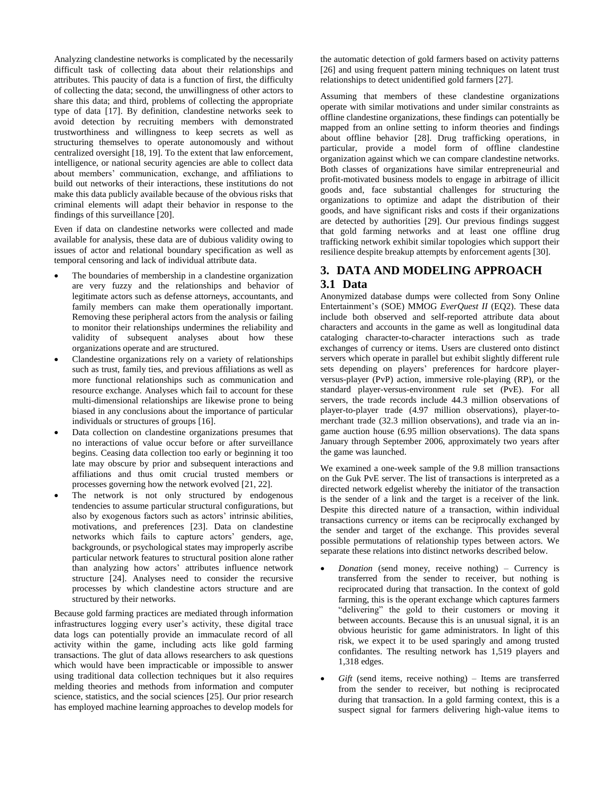Analyzing clandestine networks is complicated by the necessarily difficult task of collecting data about their relationships and attributes. This paucity of data is a function of first, the difficulty of collecting the data; second, the unwillingness of other actors to share this data; and third, problems of collecting the appropriate type of data [\[17\]](#page-7-10). By definition, clandestine networks seek to avoid detection by recruiting members with demonstrated trustworthiness and willingness to keep secrets as well as structuring themselves to operate autonomously and without centralized oversight [\[18,](#page-7-11) [19\]](#page-7-12). To the extent that law enforcement, intelligence, or national security agencies are able to collect data about members' communication, exchange, and affiliations to build out networks of their interactions, these institutions do not make this data publicly available because of the obvious risks that criminal elements will adapt their behavior in response to the findings of this surveillance [\[20\]](#page-7-13).

Even if data on clandestine networks were collected and made available for analysis, these data are of dubious validity owing to issues of actor and relational boundary specification as well as temporal censoring and lack of individual attribute data.

- The boundaries of membership in a clandestine organization are very fuzzy and the relationships and behavior of legitimate actors such as defense attorneys, accountants, and family members can make them operationally important. Removing these peripheral actors from the analysis or failing to monitor their relationships undermines the reliability and validity of subsequent analyses about how these organizations operate and are structured.
- Clandestine organizations rely on a variety of relationships such as trust, family ties, and previous affiliations as well as more functional relationships such as communication and resource exchange. Analyses which fail to account for these multi-dimensional relationships are likewise prone to being biased in any conclusions about the importance of particular individuals or structures of groups [\[16\]](#page-7-9).
- Data collection on clandestine organizations presumes that no interactions of value occur before or after surveillance begins. Ceasing data collection too early or beginning it too late may obscure by prior and subsequent interactions and affiliations and thus omit crucial trusted members or processes governing how the network evolved [\[21,](#page-7-14) [22\]](#page-7-15).
- The network is not only structured by endogenous tendencies to assume particular structural configurations, but also by exogenous factors such as actors' intrinsic abilities, motivations, and preferences [\[23\]](#page-7-16). Data on clandestine networks which fails to capture actors' genders, age, backgrounds, or psychological states may improperly ascribe particular network features to structural position alone rather than analyzing how actors' attributes influence network structure [\[24\]](#page-7-17). Analyses need to consider the recursive processes by which clandestine actors structure and are structured by their networks.

Because gold farming practices are mediated through information infrastructures logging every user's activity, these digital trace data logs can potentially provide an immaculate record of all activity within the game, including acts like gold farming transactions. The glut of data allows researchers to ask questions which would have been impracticable or impossible to answer using traditional data collection techniques but it also requires melding theories and methods from information and computer science, statistics, and the social sciences [\[25\]](#page-7-18). Our prior research has employed machine learning approaches to develop models for

the automatic detection of gold farmers based on activity patterns [\[26\]](#page-7-19) and using frequent pattern mining techniques on latent trust relationships to detect unidentified gold farmers [\[27\]](#page-7-20).

Assuming that members of these clandestine organizations operate with similar motivations and under similar constraints as offline clandestine organizations, these findings can potentially be mapped from an online setting to inform theories and findings about offline behavior [\[28\]](#page-7-21). Drug trafficking operations, in particular, provide a model form of offline clandestine organization against which we can compare clandestine networks. Both classes of organizations have similar entrepreneurial and profit-motivated business models to engage in arbitrage of illicit goods and, face substantial challenges for structuring the organizations to optimize and adapt the distribution of their goods, and have significant risks and costs if their organizations are detected by authorities [\[29\]](#page-7-22). Our previous findings suggest that gold farming networks and at least one offline drug trafficking network exhibit similar topologies which support their resilience despite breakup attempts by enforcement agents [\[30\]](#page-7-23).

# **3. DATA AND MODELING APPROACH 3.1 Data**

Anonymized database dumps were collected from Sony Online Entertainment's (SOE) MMOG *EverQuest II* (EQ2). These data include both observed and self-reported attribute data about characters and accounts in the game as well as longitudinal data cataloging character-to-character interactions such as trade exchanges of currency or items. Users are clustered onto distinct servers which operate in parallel but exhibit slightly different rule sets depending on players' preferences for hardcore playerversus-player (PvP) action, immersive role-playing (RP), or the standard player-versus-environment rule set (PvE). For all servers, the trade records include 44.3 million observations of player-to-player trade (4.97 million observations), player-tomerchant trade (32.3 million observations), and trade via an ingame auction house (6.95 million observations). The data spans January through September 2006, approximately two years after the game was launched.

We examined a one-week sample of the 9.8 million transactions on the Guk PvE server. The list of transactions is interpreted as a directed network edgelist whereby the initiator of the transaction is the sender of a link and the target is a receiver of the link. Despite this directed nature of a transaction, within individual transactions currency or items can be reciprocally exchanged by the sender and target of the exchange. This provides several possible permutations of relationship types between actors. We separate these relations into distinct networks described below.

- *Donation* (send money, receive nothing) Currency is transferred from the sender to receiver, but nothing is reciprocated during that transaction. In the context of gold farming, this is the operant exchange which captures farmers "delivering" the gold to their customers or moving it between accounts. Because this is an unusual signal, it is an obvious heuristic for game administrators. In light of this risk, we expect it to be used sparingly and among trusted confidantes. The resulting network has 1,519 players and 1,318 edges.
- *Gift* (send items, receive nothing) Items are transferred from the sender to receiver, but nothing is reciprocated during that transaction. In a gold farming context, this is a suspect signal for farmers delivering high-value items to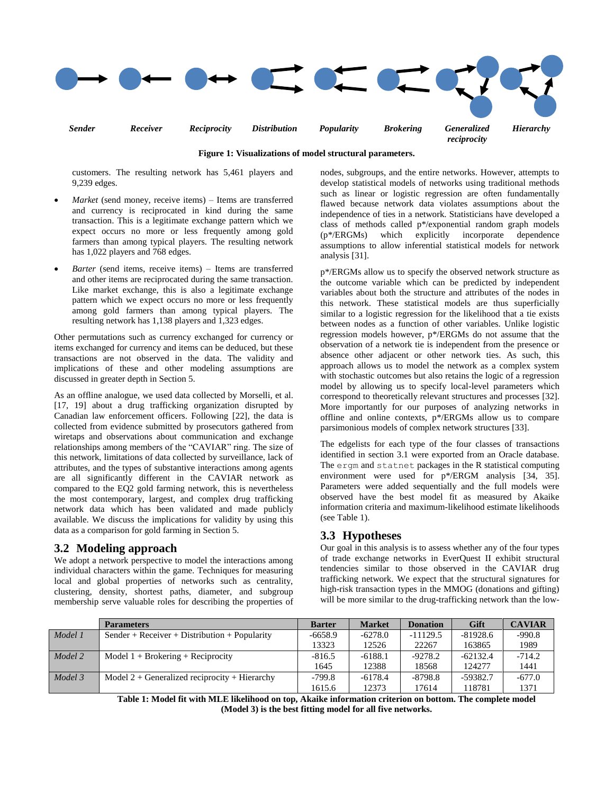

**Figure 1: Visualizations of model structural parameters.**

customers. The resulting network has 5,461 players and 9,239 edges.

- *Market* (send money, receive items) Items are transferred and currency is reciprocated in kind during the same transaction. This is a legitimate exchange pattern which we expect occurs no more or less frequently among gold farmers than among typical players. The resulting network has 1,022 players and 768 edges.
- *Barter* (send items, receive items) Items are transferred and other items are reciprocated during the same transaction. Like market exchange, this is also a legitimate exchange pattern which we expect occurs no more or less frequently among gold farmers than among typical players. The resulting network has 1,138 players and 1,323 edges.

Other permutations such as currency exchanged for currency or items exchanged for currency and items can be deduced, but these transactions are not observed in the data. The validity and implications of these and other modeling assumptions are discussed in greater depth in Section 5.

As an offline analogue, we used data collected by Morselli, et al. [\[17,](#page-7-10) [19\]](#page-7-12) about a drug trafficking organization disrupted by Canadian law enforcement officers. Following [\[22\]](#page-7-15), the data is collected from evidence submitted by prosecutors gathered from wiretaps and observations about communication and exchange relationships among members of the "CAVIAR" ring. The size of this network, limitations of data collected by surveillance, lack of attributes, and the types of substantive interactions among agents are all significantly different in the CAVIAR network as compared to the EQ2 gold farming network, this is nevertheless the most contemporary, largest, and complex drug trafficking network data which has been validated and made publicly available. We discuss the implications for validity by using this data as a comparison for gold farming in Section 5.

### **3.2 Modeling approach**

We adopt a network perspective to model the interactions among individual characters within the game. Techniques for measuring local and global properties of networks such as centrality, clustering, density, shortest paths, diameter, and subgroup membership serve valuable roles for describing the properties of nodes, subgroups, and the entire networks. However, attempts to develop statistical models of networks using traditional methods such as linear or logistic regression are often fundamentally flawed because network data violates assumptions about the independence of ties in a network. Statisticians have developed a class of methods called p\*/exponential random graph models (p\*/ERGMs) which explicitly incorporate dependence assumptions to allow inferential statistical models for network analysis [\[31\]](#page-7-24).

p\*/ERGMs allow us to specify the observed network structure as the outcome variable which can be predicted by independent variables about both the structure and attributes of the nodes in this network. These statistical models are thus superficially similar to a logistic regression for the likelihood that a tie exists between nodes as a function of other variables. Unlike logistic regression models however, p\*/ERGMs do not assume that the observation of a network tie is independent from the presence or absence other adjacent or other network ties. As such, this approach allows us to model the network as a complex system with stochastic outcomes but also retains the logic of a regression model by allowing us to specify local-level parameters which correspond to theoretically relevant structures and processes [\[32\]](#page-7-25). More importantly for our purposes of analyzing networks in offline and online contexts, p\*/ERGMs allow us to compare parsimonious models of complex network structures [\[33\]](#page-7-26).

The edgelists for each type of the four classes of transactions identified in section 3.1 were exported from an Oracle database. The ergm and statnet packages in the R statistical computing environment were used for  $p^*$ /ERGM analysis [\[34,](#page-7-27) [35\]](#page-7-28). Parameters were added sequentially and the full models were observed have the best model fit as measured by Akaike information criteria and maximum-likelihood estimate likelihoods (see Table 1).

# **3.3 Hypotheses**

Our goal in this analysis is to assess whether any of the four types of trade exchange networks in EverQuest II exhibit structural tendencies similar to those observed in the CAVIAR drug trafficking network. We expect that the structural signatures for high-risk transaction types in the MMOG (donations and gifting) will be more similar to the drug-trafficking network than the low-

|         | <b>Parameters</b>                               | <b>Barter</b> | <b>Market</b> | <b>Donation</b> | Gift       | <b>CAVIAR</b> |
|---------|-------------------------------------------------|---------------|---------------|-----------------|------------|---------------|
| Model 1 | Sender + Receiver + Distribution + Popularity   | $-6658.9$     | $-6278.0$     | $-11129.5$      | $-81928.6$ | $-990.8$      |
|         |                                                 | 13323         | 12526         | 22267           | 163865     | 1989          |
| Model 2 | Model $1 + B$ rokering + Reciprocity            | $-816.5$      | $-6188.1$     | $-9278.2$       | $-62132.4$ | $-714.2$      |
|         |                                                 | 1645          | 12388         | 18568           | 124277     | 1441          |
| Model 3 | Model $2 +$ Generalized reciprocity + Hierarchy | $-799.8$      | $-6178.4$     | $-8798.8$       | $-59382.7$ | $-677.0$      |
|         |                                                 | 1615.6        | 12373         | 17614           | 118781     | 1371          |

**Table 1: Model fit with MLE likelihood on top, Akaike information criterion on bottom. The complete model (Model 3) is the best fitting model for all five networks.**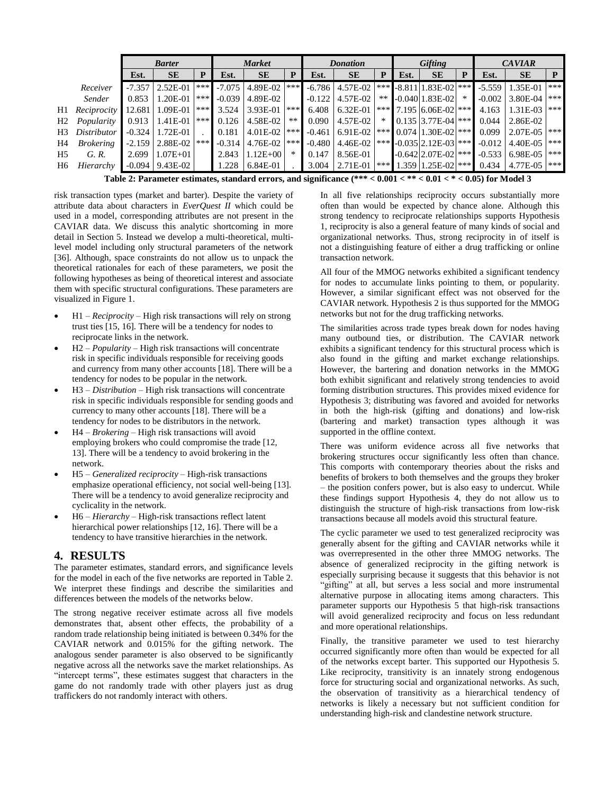|                |                                                                                                                                    | <b>Barter</b> |                     |     | <b>Market</b> |                  | <b>Donation</b> |          | Gifting                                       |        | <b>CAVIAR</b> |                                                    |        |          |                |     |
|----------------|------------------------------------------------------------------------------------------------------------------------------------|---------------|---------------------|-----|---------------|------------------|-----------------|----------|-----------------------------------------------|--------|---------------|----------------------------------------------------|--------|----------|----------------|-----|
|                |                                                                                                                                    | Est.          | <b>SE</b>           | D   | Est.          | <b>SE</b>        | P               | Est.     | <b>SE</b>                                     | P      | Est.          | <b>SE</b>                                          | P      | Est.     | <b>SE</b>      | P   |
|                | Receiver                                                                                                                           | $-7.357$      | 2.52E-01            | *** | $-7.075$      | 4.89E-02 ***     |                 |          | $-6.786$   $4.57E-02$                         |        |               | *** $\textsf{-.8.811}\vert 1.83\textsf{E}$ -02 *** |        | $-5.559$ | 1.35E-01       | *** |
|                | Sender                                                                                                                             | 0.853         | 1.20E-01            | *** | $-0.039$      | 4.89E-02         |                 |          | $-0.122$   4.57E-02                           | **     |               | $-0.04011.83E-02$                                  | $\ast$ | $-0.002$ | 3.80E-04 ***   |     |
| H1             | Reciprocity                                                                                                                        | 12.681        | 1.09E-01            | *** | 3.524         | 3.93E-01 ***     |                 | 6.408    | $6.32E-01$                                    |        |               | *** 7.195 6.06E-02 ***                             |        | 4.163    | $1.31E-03$ *** |     |
| H2             | Popularity                                                                                                                         | 0.913         | 1.41E-01            | *** | 0.126         | $4.58E-02$       | $***$           | 0.090    | $4.57E-02$                                    | $\ast$ |               | $0.135$ 3.77E-04 ***                               |        | 0.044    | 2.86E-02       |     |
| H3             | Distributor                                                                                                                        | $-0.324$      | 1.72E-01            |     | 0.181         | 4.01E-02 $ *** $ |                 | $-0.461$ | 6.91E-02   ***   0.074   1.30E-02   ***       |        |               |                                                    |        | 0.099    | $2.07E-05$ *** |     |
| H4             | <b>Brokering</b>                                                                                                                   | $-2.159$      | 2.88E-02            | *** | $-0.314$      | $4.76E-02$ ***   |                 | $-0.480$ | 4.46E-02   *** $\sim$ -0.035   2.12E-03   *** |        |               |                                                    |        | $-0.012$ | 4.40E-05       | *** |
| H <sub>5</sub> | G. R.                                                                                                                              | 2.699         | $1.07E + 01$        |     | 2.843         | $1.12E + 00$     | $\ast$          | 0.147    | 8.56E-01                                      |        |               | $-0.642$  2.07E-02 ***                             |        | $-0.533$ | 6.98E-05 ***   |     |
| H6             | Hierarchy                                                                                                                          |               | $-0.094$   9.43E-02 |     | 1.228         | 6.84E-01         |                 | 3.004    | 2.71E-01                                      |        |               | $\mid$ *** 1.359 1.25E-02 ***                      |        | 0.434    | 4.77E-05 ***   |     |
|                | .<br>-----<br>$\sim$ $\sim$ $\sim$ $\sim$<br>-----<br>$\sim$ $\sim$ $\sim$ $\sim$ $\sim$<br>$\mathbf{a}$ $\mathbf{a}$ $\mathbf{b}$ |               |                     |     |               |                  |                 |          |                                               |        |               |                                                    |        |          |                |     |

**Table 2: Parameter estimates, standard errors, and significance (\*\*\* < 0.001 < \*\* < 0.01 < \* < 0.05) for Model 3**

risk transaction types (market and barter). Despite the variety of attribute data about characters in *EverQuest II* which could be used in a model, corresponding attributes are not present in the CAVIAR data. We discuss this analytic shortcoming in more detail in Section 5. Instead we develop a multi-theoretical, multilevel model including only structural parameters of the network [\[36\]](#page-7-29). Although, space constraints do not allow us to unpack the theoretical rationales for each of these parameters, we posit the following hypotheses as being of theoretical interest and associate them with specific structural configurations. These parameters are visualized in Figure 1.

- H1 *– Reciprocity* High risk transactions will rely on strong trust ties [\[15,](#page-7-8) [16\]](#page-7-9). There will be a tendency for nodes to reciprocate links in the network.
- H2 *– Popularity*  High risk transactions will concentrate risk in specific individuals responsible for receiving goods and currency from many other accounts [\[18\]](#page-7-11). There will be a tendency for nodes to be popular in the network.
- H3 *– Distribution* High risk transactions will concentrate risk in specific individuals responsible for sending goods and currency to many other accounts [\[18\]](#page-7-11). There will be a tendency for nodes to be distributors in the network.
- H4 *– Brokering*  High risk transactions will avoid employing brokers who could compromise the trade [\[12,](#page-7-5) [13\]](#page-7-6). There will be a tendency to avoid brokering in the network.
- H5 *– Generalized reciprocity –* High-risk transactions emphasize operational efficiency, not social well-being [\[13\]](#page-7-6). There will be a tendency to avoid generalize reciprocity and cyclicality in the network.
- H6 *– Hierarchy –* High-risk transactions reflect latent hierarchical power relationships [\[12,](#page-7-5) [16\]](#page-7-9). There will be a tendency to have transitive hierarchies in the network.

#### **4. RESULTS**

The parameter estimates, standard errors, and significance levels for the model in each of the five networks are reported in Table 2. We interpret these findings and describe the similarities and differences between the models of the networks below.

The strong negative receiver estimate across all five models demonstrates that, absent other effects, the probability of a random trade relationship being initiated is between 0.34% for the CAVIAR network and 0.015% for the gifting network. The analogous sender parameter is also observed to be significantly negative across all the networks save the market relationships. As "intercept terms", these estimates suggest that characters in the game do not randomly trade with other players just as drug traffickers do not randomly interact with others.

In all five relationships reciprocity occurs substantially more often than would be expected by chance alone. Although this strong tendency to reciprocate relationships supports Hypothesis 1, reciprocity is also a general feature of many kinds of social and organizational networks. Thus, strong reciprocity in of itself is not a distinguishing feature of either a drug trafficking or online transaction network.

All four of the MMOG networks exhibited a significant tendency for nodes to accumulate links pointing to them, or popularity. However, a similar significant effect was not observed for the CAVIAR network. Hypothesis 2 is thus supported for the MMOG networks but not for the drug trafficking networks.

The similarities across trade types break down for nodes having many outbound ties, or distribution. The CAVIAR network exhibits a significant tendency for this structural process which is also found in the gifting and market exchange relationships. However, the bartering and donation networks in the MMOG both exhibit significant and relatively strong tendencies to avoid forming distribution structures. This provides mixed evidence for Hypothesis 3; distributing was favored and avoided for networks in both the high-risk (gifting and donations) and low-risk (bartering and market) transaction types although it was supported in the offline context.

There was uniform evidence across all five networks that brokering structures occur significantly less often than chance. This comports with contemporary theories about the risks and benefits of brokers to both themselves and the groups they broker – the position confers power, but is also easy to undercut. While these findings support Hypothesis 4, they do not allow us to distinguish the structure of high-risk transactions from low-risk transactions because all models avoid this structural feature.

The cyclic parameter we used to test generalized reciprocity was generally absent for the gifting and CAVIAR networks while it was overrepresented in the other three MMOG networks. The absence of generalized reciprocity in the gifting network is especially surprising because it suggests that this behavior is not "gifting" at all, but serves a less social and more instrumental alternative purpose in allocating items among characters. This parameter supports our Hypothesis 5 that high-risk transactions will avoid generalized reciprocity and focus on less redundant and more operational relationships.

Finally, the transitive parameter we used to test hierarchy occurred significantly more often than would be expected for all of the networks except barter. This supported our Hypothesis 5. Like reciprocity, transitivity is an innately strong endogenous force for structuring social and organizational networks. As such, the observation of transitivity as a hierarchical tendency of networks is likely a necessary but not sufficient condition for understanding high-risk and clandestine network structure.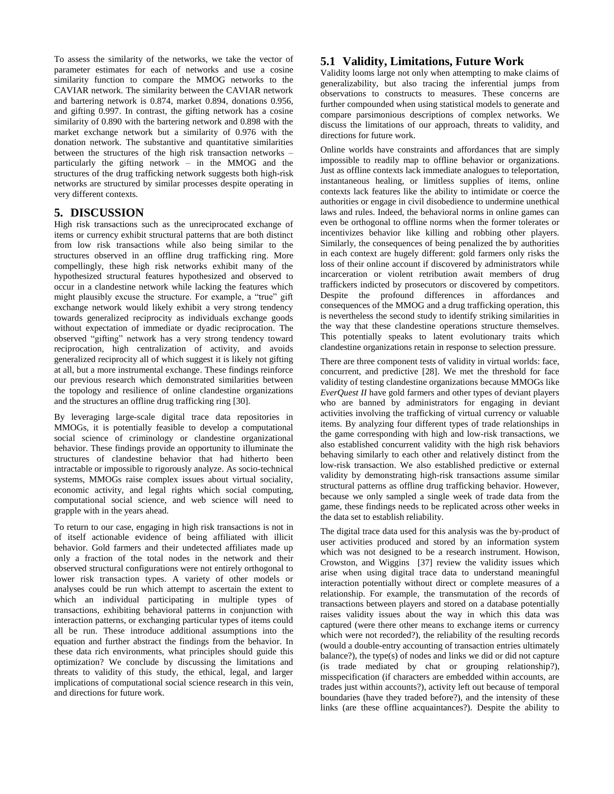To assess the similarity of the networks, we take the vector of parameter estimates for each of networks and use a cosine similarity function to compare the MMOG networks to the CAVIAR network. The similarity between the CAVIAR network and bartering network is 0.874, market 0.894, donations 0.956, and gifting 0.997. In contrast, the gifting network has a cosine similarity of 0.890 with the bartering network and 0.898 with the market exchange network but a similarity of 0.976 with the donation network. The substantive and quantitative similarities between the structures of the high risk transaction networks – particularly the gifting network – in the MMOG and the structures of the drug trafficking network suggests both high-risk networks are structured by similar processes despite operating in very different contexts.

### **5. DISCUSSION**

High risk transactions such as the unreciprocated exchange of items or currency exhibit structural patterns that are both distinct from low risk transactions while also being similar to the structures observed in an offline drug trafficking ring. More compellingly, these high risk networks exhibit many of the hypothesized structural features hypothesized and observed to occur in a clandestine network while lacking the features which might plausibly excuse the structure. For example, a "true" gift exchange network would likely exhibit a very strong tendency towards generalized reciprocity as individuals exchange goods without expectation of immediate or dyadic reciprocation. The observed "gifting" network has a very strong tendency toward reciprocation, high centralization of activity, and avoids generalized reciprocity all of which suggest it is likely not gifting at all, but a more instrumental exchange. These findings reinforce our previous research which demonstrated similarities between the topology and resilience of online clandestine organizations and the structures an offline drug trafficking ring [\[30\]](#page-7-23).

By leveraging large-scale digital trace data repositories in MMOGs, it is potentially feasible to develop a computational social science of criminology or clandestine organizational behavior. These findings provide an opportunity to illuminate the structures of clandestine behavior that had hitherto been intractable or impossible to rigorously analyze. As socio-technical systems, MMOGs raise complex issues about virtual sociality, economic activity, and legal rights which social computing, computational social science, and web science will need to grapple with in the years ahead.

To return to our case, engaging in high risk transactions is not in of itself actionable evidence of being affiliated with illicit behavior. Gold farmers and their undetected affiliates made up only a fraction of the total nodes in the network and their observed structural configurations were not entirely orthogonal to lower risk transaction types. A variety of other models or analyses could be run which attempt to ascertain the extent to which an individual participating in multiple types of transactions, exhibiting behavioral patterns in conjunction with interaction patterns, or exchanging particular types of items could all be run. These introduce additional assumptions into the equation and further abstract the findings from the behavior. In these data rich environments, what principles should guide this optimization? We conclude by discussing the limitations and threats to validity of this study, the ethical, legal, and larger implications of computational social science research in this vein, and directions for future work.

# **5.1 Validity, Limitations, Future Work**

Validity looms large not only when attempting to make claims of generalizability, but also tracing the inferential jumps from observations to constructs to measures. These concerns are further compounded when using statistical models to generate and compare parsimonious descriptions of complex networks. We discuss the limitations of our approach, threats to validity, and directions for future work.

Online worlds have constraints and affordances that are simply impossible to readily map to offline behavior or organizations. Just as offline contexts lack immediate analogues to teleportation, instantaneous healing, or limitless supplies of items, online contexts lack features like the ability to intimidate or coerce the authorities or engage in civil disobedience to undermine unethical laws and rules. Indeed, the behavioral norms in online games can even be orthogonal to offline norms when the former tolerates or incentivizes behavior like killing and robbing other players. Similarly, the consequences of being penalized the by authorities in each context are hugely different: gold farmers only risks the loss of their online account if discovered by administrators while incarceration or violent retribution await members of drug traffickers indicted by prosecutors or discovered by competitors. Despite the profound differences in affordances and consequences of the MMOG and a drug trafficking operation, this is nevertheless the second study to identify striking similarities in the way that these clandestine operations structure themselves. This potentially speaks to latent evolutionary traits which clandestine organizations retain in response to selection pressure.

There are three component tests of validity in virtual worlds: face, concurrent, and predictive [\[28\]](#page-7-21). We met the threshold for face validity of testing clandestine organizations because MMOGs like *EverQuest II* have gold farmers and other types of deviant players who are banned by administrators for engaging in deviant activities involving the trafficking of virtual currency or valuable items. By analyzing four different types of trade relationships in the game corresponding with high and low-risk transactions, we also established concurrent validity with the high risk behaviors behaving similarly to each other and relatively distinct from the low-risk transaction. We also established predictive or external validity by demonstrating high-risk transactions assume similar structural patterns as offline drug trafficking behavior. However, because we only sampled a single week of trade data from the game, these findings needs to be replicated across other weeks in the data set to establish reliability.

The digital trace data used for this analysis was the by-product of user activities produced and stored by an information system which was not designed to be a research instrument. Howison, Crowston, and Wiggins [\[37\]](#page-7-30) review the validity issues which arise when using digital trace data to understand meaningful interaction potentially without direct or complete measures of a relationship. For example, the transmutation of the records of transactions between players and stored on a database potentially raises validity issues about the way in which this data was captured (were there other means to exchange items or currency which were not recorded?), the reliability of the resulting records (would a double-entry accounting of transaction entries ultimately balance?), the type(s) of nodes and links we did or did not capture (is trade mediated by chat or grouping relationship?), misspecification (if characters are embedded within accounts, are trades just within accounts?), activity left out because of temporal boundaries (have they traded before?), and the intensity of these links (are these offline acquaintances?). Despite the ability to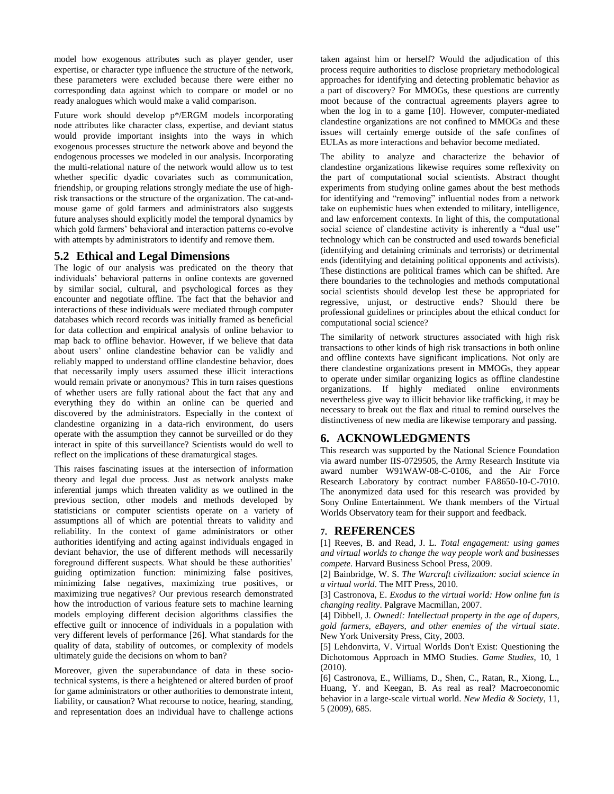model how exogenous attributes such as player gender, user expertise, or character type influence the structure of the network, these parameters were excluded because there were either no corresponding data against which to compare or model or no ready analogues which would make a valid comparison.

Future work should develop p\*/ERGM models incorporating node attributes like character class, expertise, and deviant status would provide important insights into the ways in which exogenous processes structure the network above and beyond the endogenous processes we modeled in our analysis. Incorporating the multi-relational nature of the network would allow us to test whether specific dyadic covariates such as communication, friendship, or grouping relations strongly mediate the use of highrisk transactions or the structure of the organization. The cat-andmouse game of gold farmers and administrators also suggests future analyses should explicitly model the temporal dynamics by which gold farmers' behavioral and interaction patterns co-evolve with attempts by administrators to identify and remove them.

### **5.2 Ethical and Legal Dimensions**

The logic of our analysis was predicated on the theory that individuals' behavioral patterns in online contexts are governed by similar social, cultural, and psychological forces as they encounter and negotiate offline. The fact that the behavior and interactions of these individuals were mediated through computer databases which record records was initially framed as beneficial for data collection and empirical analysis of online behavior to map back to offline behavior. However, if we believe that data about users' online clandestine behavior can be validly and reliably mapped to understand offline clandestine behavior, does that necessarily imply users assumed these illicit interactions would remain private or anonymous? This in turn raises questions of whether users are fully rational about the fact that any and everything they do within an online can be queried and discovered by the administrators. Especially in the context of clandestine organizing in a data-rich environment, do users operate with the assumption they cannot be surveilled or do they interact in spite of this surveillance? Scientists would do well to reflect on the implications of these dramaturgical stages.

This raises fascinating issues at the intersection of information theory and legal due process. Just as network analysts make inferential jumps which threaten validity as we outlined in the previous section, other models and methods developed by statisticians or computer scientists operate on a variety of assumptions all of which are potential threats to validity and reliability. In the context of game administrators or other authorities identifying and acting against individuals engaged in deviant behavior, the use of different methods will necessarily foreground different suspects. What should be these authorities' guiding optimization function: minimizing false positives, minimizing false negatives, maximizing true positives, or maximizing true negatives? Our previous research demonstrated how the introduction of various feature sets to machine learning models employing different decision algorithms classifies the effective guilt or innocence of individuals in a population with very different levels of performance [\[26\]](#page-7-19). What standards for the quality of data, stability of outcomes, or complexity of models ultimately guide the decisions on whom to ban?

Moreover, given the superabundance of data in these sociotechnical systems, is there a heightened or altered burden of proof for game administrators or other authorities to demonstrate intent, liability, or causation? What recourse to notice, hearing, standing, and representation does an individual have to challenge actions

taken against him or herself? Would the adjudication of this process require authorities to disclose proprietary methodological approaches for identifying and detecting problematic behavior as a part of discovery? For MMOGs, these questions are currently moot because of the contractual agreements players agree to when the log in to a game [\[10\]](#page-7-3). However, computer-mediated clandestine organizations are not confined to MMOGs and these issues will certainly emerge outside of the safe confines of EULAs as more interactions and behavior become mediated.

The ability to analyze and characterize the behavior of clandestine organizations likewise requires some reflexivity on the part of computational social scientists. Abstract thought experiments from studying online games about the best methods for identifying and "removing" influential nodes from a network take on euphemistic hues when extended to military, intelligence, and law enforcement contexts. In light of this, the computational social science of clandestine activity is inherently a "dual use" technology which can be constructed and used towards beneficial (identifying and detaining criminals and terrorists) or detrimental ends (identifying and detaining political opponents and activists). These distinctions are political frames which can be shifted. Are there boundaries to the technologies and methods computational social scientists should develop lest these be appropriated for regressive, unjust, or destructive ends? Should there be professional guidelines or principles about the ethical conduct for computational social science?

The similarity of network structures associated with high risk transactions to other kinds of high risk transactions in both online and offline contexts have significant implications. Not only are there clandestine organizations present in MMOGs, they appear to operate under similar organizing logics as offline clandestine organizations. If highly mediated online environments nevertheless give way to illicit behavior like trafficking, it may be necessary to break out the flax and ritual to remind ourselves the distinctiveness of new media are likewise temporary and passing.

### **6. ACKNOWLEDGMENTS**

This research was supported by the National Science Foundation via award number IIS-0729505, the Army Research Institute via award number W91WAW-08-C-0106, and the Air Force Research Laboratory by contract number FA8650-10-C-7010. The anonymized data used for this research was provided by Sony Online Entertainment. We thank members of the Virtual Worlds Observatory team for their support and feedback.

#### **7. REFERENCES**

<span id="page-6-0"></span>[1] Reeves, B. and Read, J. L. *Total engagement: using games and virtual worlds to change the way people work and businesses compete*. Harvard Business School Press, 2009.

<span id="page-6-1"></span>[2] Bainbridge, W. S. *The Warcraft civilization: social science in a virtual world*. The MIT Press, 2010.

<span id="page-6-2"></span>[3] Castronova, E. *Exodus to the virtual world: How online fun is changing reality*. Palgrave Macmillan, 2007.

<span id="page-6-3"></span>[4] Dibbell, J. *Owned!: Intellectual property in the age of dupers, gold farmers, eBayers, and other enemies of the virtual state*. New York University Press, City, 2003.

<span id="page-6-4"></span>[5] Lehdonvirta, V. Virtual Worlds Don't Exist: Questioning the Dichotomous Approach in MMO Studies. *Game Studies*, 10, 1 (2010).

<span id="page-6-5"></span>[6] Castronova, E., Williams, D., Shen, C., Ratan, R., Xiong, L., Huang, Y. and Keegan, B. As real as real? Macroeconomic behavior in a large-scale virtual world. *New Media & Society*, 11, 5 (2009), 685.